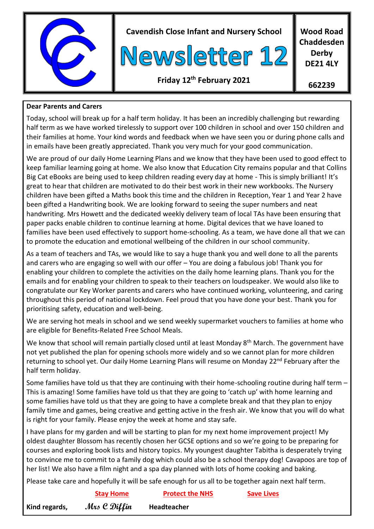

**Cavendish Close Infant and Nursery School**



**Wood Road Chaddesden Derby DE21 4LY**

## **Friday 12th February 2021**

**662239**

## **Dear Parents and Carers**

Today, school will break up for a half term holiday. It has been an incredibly challenging but rewarding half term as we have worked tirelessly to support over 100 children in school and over 150 children and their families at home. Your kind words and feedback when we have seen you or during phone calls and in emails have been greatly appreciated. Thank you very much for your good communication.

We are proud of our daily Home Learning Plans and we know that they have been used to good effect to keep familiar learning going at home. We also know that Education City remains popular and that Collins Big Cat eBooks are being used to keep children reading every day at home - This is simply brilliant! It's great to hear that children are motivated to do their best work in their new workbooks. The Nursery children have been gifted a Maths book this time and the children in Reception, Year 1 and Year 2 have been gifted a Handwriting book. We are looking forward to seeing the super numbers and neat handwriting. Mrs Howett and the dedicated weekly delivery team of local TAs have been ensuring that paper packs enable children to continue learning at home. Digital devices that we have loaned to families have been used effectively to support home-schooling. As a team, we have done all that we can to promote the education and emotional wellbeing of the children in our school community.

As a team of teachers and TAs, we would like to say a huge thank you and well done to all the parents and carers who are engaging so well with our offer – You are doing a fabulous job! Thank you for enabling your children to complete the activities on the daily home learning plans. Thank you for the emails and for enabling your children to speak to their teachers on loudspeaker. We would also like to congratulate our Key Worker parents and carers who have continued working, volunteering, and caring throughout this period of national lockdown. Feel proud that you have done your best. Thank you for prioritising safety, education and well-being.

We are serving hot meals in school and we send weekly supermarket vouchers to families at home who are eligible for Benefits-Related Free School Meals.

We know that school will remain partially closed until at least Monday 8<sup>th</sup> March. The government have not yet published the plan for opening schools more widely and so we cannot plan for more children returning to school yet. Our daily Home Learning Plans will resume on Monday 22<sup>nd</sup> February after the half term holiday.

Some families have told us that they are continuing with their home-schooling routine during half term – This is amazing! Some families have told us that they are going to 'catch up' with home learning and some families have told us that they are going to have a complete break and that they plan to enjoy family time and games, being creative and getting active in the fresh air. We know that you will do what is right for your family. Please enjoy the week at home and stay safe.

I have plans for my garden and will be starting to plan for my next home improvement project! My oldest daughter Blossom has recently chosen her GCSE options and so we're going to be preparing for courses and exploring book lists and history topics. My youngest daughter Tabitha is desperately trying to convince me to commit to a family dog which could also be a school therapy dog! Cavapoos are top of her list! We also have a film night and a spa day planned with lots of home cooking and baking.

Please take care and hopefully it will be safe enough for us all to be together again next half term.

|               | <b>Stay Home</b> | <b>Protect the NHS</b> | <b>Save Lives</b> |
|---------------|------------------|------------------------|-------------------|
| Kind regards, | Mrs C Diffin     | <b>Headteacher</b>     |                   |